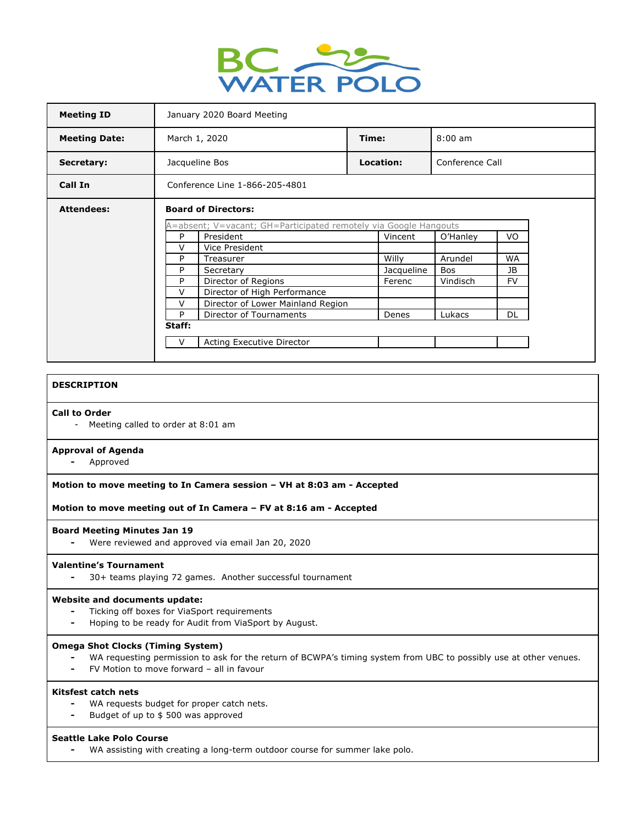

| <b>Meeting ID</b>    | January 2020 Board Meeting                                                                                                                     |  |                     |                       |                        |  |
|----------------------|------------------------------------------------------------------------------------------------------------------------------------------------|--|---------------------|-----------------------|------------------------|--|
| <b>Meeting Date:</b> | March 1, 2020                                                                                                                                  |  | Time:               | $8:00 \text{ am}$     |                        |  |
| Secretary:           | Jacqueline Bos                                                                                                                                 |  | Location:           | Conference Call       |                        |  |
| Call In              | Conference Line 1-866-205-4801                                                                                                                 |  |                     |                       |                        |  |
| <b>Attendees:</b>    | <b>Board of Directors:</b><br>A=absent; V=vacant; GH=Participated remotely via Google Hangouts<br>President<br>P<br>Vincent<br>VO.<br>O'Hanley |  |                     |                       |                        |  |
|                      | $\vee$<br>Vice President<br>P<br>Treasurer<br>P<br>Secretary                                                                                   |  | Willy<br>Jacqueline | Arundel<br><b>Bos</b> | <b>WA</b><br><b>JB</b> |  |
|                      | Director of Regions<br>P<br>Director of High Performance<br>V<br>v<br>Director of Lower Mainland Region                                        |  | Ferenc              | Vindisch              | <b>FV</b>              |  |
|                      | P<br>Director of Tournaments<br>Staff:                                                                                                         |  | Denes               | Lukacs                | DL                     |  |
|                      | Acting Executive Director<br>v                                                                                                                 |  |                     |                       |                        |  |

## **DESCRIPTION**

#### **Call to Order**

- Meeting called to order at 8:01 am

#### **Approval of Agenda**

**-** Approved

# **Motion to move meeting to In Camera session – VH at 8:03 am - Accepted**

**Motion to move meeting out of In Camera – FV at 8:16 am - Accepted**

#### **Board Meeting Minutes Jan 19**

**-** Were reviewed and approved via email Jan 20, 2020

#### **Valentine's Tournament**

**-** 30+ teams playing 72 games. Another successful tournament

#### **Website and documents update:**

- **-** Ticking off boxes for ViaSport requirements
- **-** Hoping to be ready for Audit from ViaSport by August.

# **Omega Shot Clocks (Timing System)**

- **-** WA requesting permission to ask for the return of BCWPA's timing system from UBC to possibly use at other venues.
- **-** FV Motion to move forward all in favour

# **Kitsfest catch nets**

- **-** WA requests budget for proper catch nets.
- **-** Budget of up to \$ 500 was approved

#### **Seattle Lake Polo Course**

**-** WA assisting with creating a long-term outdoor course for summer lake polo.